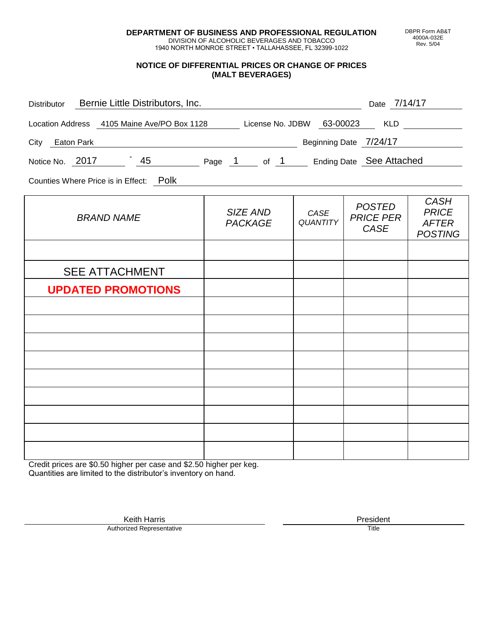**DEPARTMENT OF BUSINESS AND PROFESSIONAL REGULATION** DIVISION OF ALCOHOLIC BEVERAGES AND TOBACCO

1940 NORTH MONROE STREET • TALLAHASSEE, FL 32399-1022

### **NOTICE OF DIFFERENTIAL PRICES OR CHANGE OF PRICES (MALT BEVERAGES)**

| Distributor Bernie Little Distributors, Inc.                              |                                               |                         | Date 7/14/17                                     |                                                               |
|---------------------------------------------------------------------------|-----------------------------------------------|-------------------------|--------------------------------------------------|---------------------------------------------------------------|
| Location Address 4105 Maine Ave/PO Box 1128 License No. JDBW 63-00023 KLD |                                               |                         |                                                  |                                                               |
| City Eaton Park                                                           | <b>Example 2124/17</b> Beginning Date 7/24/17 |                         |                                                  |                                                               |
| Notice No. 2017 45 Page 1 of 1 Ending Date See Attached                   |                                               |                         |                                                  |                                                               |
| Counties Where Price is in Effect: Polk                                   |                                               |                         |                                                  |                                                               |
| <b>BRAND NAME</b>                                                         | SIZE AND<br><b>PACKAGE</b>                    | CASE<br><b>QUANTITY</b> | <b>POSTED</b><br><b>PRICE PER</b><br><b>CASE</b> | <b>CASH</b><br><b>PRICE</b><br><b>AFTER</b><br><b>POSTING</b> |
|                                                                           |                                               |                         |                                                  |                                                               |
| <b>SEE ATTACHMENT</b>                                                     |                                               |                         |                                                  |                                                               |
| <b>UPDATED PROMOTIONS</b>                                                 |                                               |                         |                                                  |                                                               |
|                                                                           |                                               |                         |                                                  |                                                               |
|                                                                           |                                               |                         |                                                  |                                                               |
|                                                                           |                                               |                         |                                                  |                                                               |
|                                                                           |                                               |                         |                                                  |                                                               |
|                                                                           |                                               |                         |                                                  |                                                               |
|                                                                           |                                               |                         |                                                  |                                                               |
|                                                                           |                                               |                         |                                                  |                                                               |
|                                                                           |                                               |                         |                                                  |                                                               |
|                                                                           |                                               |                         |                                                  |                                                               |

Credit prices are \$0.50 higher per case and \$2.50 higher per keg. Quantities are limited to the distributor's inventory on hand.

> Keith Harris **President** President **President** President **President** President **President** Authorized Representative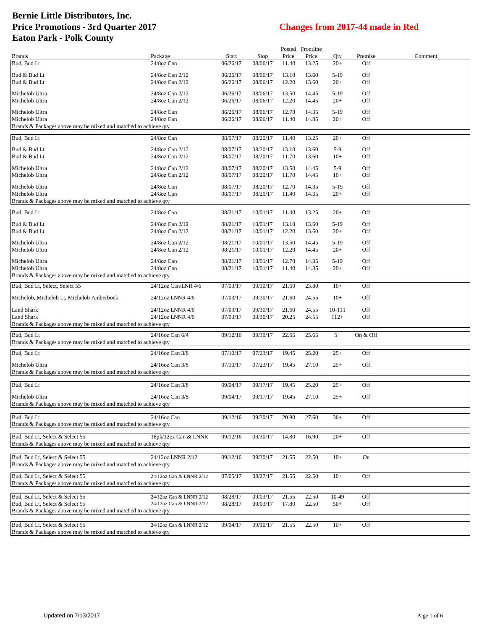|                                                                 |                          |                      |             |                | Posted Frontline |                 |            |         |
|-----------------------------------------------------------------|--------------------------|----------------------|-------------|----------------|------------------|-----------------|------------|---------|
| <b>Brands</b>                                                   | Package                  | Start                | <b>Stop</b> | Price          | Price            | Qty             | Premise    | Comment |
| Bud, Bud Lt                                                     | 24/8oz Can               | 06/26/17             | 08/06/17    | 11.40          | 13.25            | $20+$           | Off        |         |
| Bud & Bud Lt                                                    | 24/8oz Can 2/12          | 06/26/17             | 08/06/17    | 13.10          | 13.60            | $5-19$          | Off        |         |
| Bud & Bud Lt                                                    | 24/8oz Can 2/12          | 06/26/17             | 08/06/17    | 12.20          | 13.60            | $20+$           | Off        |         |
|                                                                 |                          |                      |             |                |                  |                 |            |         |
| Michelob Ultra                                                  | 24/8oz Can 2/12          | 06/26/17             | 08/06/17    | 13.50          | 14.45            | $5-19$          | Off        |         |
| Michelob Ultra                                                  | 24/8oz Can 2/12          | 06/26/17             | 08/06/17    | 12.20          | 14.45            | $20+$           | Off        |         |
| Michelob Ultra                                                  | 24/8oz Can               | 06/26/17             | 08/06/17    | 12.70          | 14.35            | $5-19$          | Off        |         |
| Michelob Ultra                                                  | 24/8oz Can               | 06/26/17             | 08/06/17    | 11.40          | 14.35            | $20+$           | Off        |         |
| Brands & Packages above may be mixed and matched to achieve qty |                          |                      |             |                |                  |                 |            |         |
| Bud, Bud Lt                                                     | 24/8oz Can               | 08/07/17             | 08/20/17    | 11.40          | 13.25            | $20+$           | Off        |         |
|                                                                 |                          |                      |             |                |                  |                 |            |         |
| Bud & Bud Lt                                                    | 24/8oz Can 2/12          | 08/07/17             | 08/20/17    | 13.10          | 13.60            | $5-9$           | Off        |         |
| Bud & Bud Lt                                                    | 24/8oz Can 2/12          | 08/07/17             | 08/20/17    | 11.70          | 13.60            | $10+$           | Off        |         |
| Michelob Ultra                                                  | 24/8oz Can 2/12          | 08/07/17             | 08/20/17    | 13.50          | 14.45            | $5-9$           | Off        |         |
| Michelob Ultra                                                  | 24/8oz Can 2/12          | 08/07/17             | 08/20/17    | 11.70          | 14.45            | $10+$           | Off        |         |
|                                                                 |                          |                      |             |                |                  |                 |            |         |
| Michelob Ultra                                                  | 24/8oz Can               | 08/07/17             | 08/20/17    | 12.70          | 14.35            | $5-19$          | Off        |         |
| Michelob Ultra                                                  | 24/8oz Can               | 08/07/17             | 08/20/17    | 11.40          | 14.35            | $20+$           | Off        |         |
| Brands & Packages above may be mixed and matched to achieve qty |                          |                      |             |                |                  |                 |            |         |
| Bud, Bud Lt                                                     | 24/8oz Can               | 08/21/17             | 10/01/17    | 11.40          | 13.25            | $20+$           | Off        |         |
|                                                                 |                          |                      |             |                |                  |                 |            |         |
| Bud & Bud Lt                                                    | 24/8oz Can 2/12          | 08/21/17             | 10/01/17    | 13.10          | 13.60            | $5-19$          | Off        |         |
| Bud & Bud Lt                                                    | 24/8oz Can 2/12          | 08/21/17             | 10/01/17    | 12.20          | 13.60            | $20+$           | Off        |         |
| Michelob Ultra                                                  | 24/8oz Can 2/12          | 08/21/17             | 10/01/17    | 13.50          | 14.45            | $5-19$          | Off        |         |
| Michelob Ultra                                                  | 24/8oz Can 2/12          | 08/21/17             | 10/01/17    | 12.20          | 14.45            | $20+$           | Off        |         |
|                                                                 |                          |                      |             |                |                  |                 |            |         |
| Michelob Ultra<br>Michelob Ultra                                | 24/8oz Can<br>24/8oz Can | 08/21/17<br>08/21/17 | 10/01/17    | 12.70<br>11.40 | 14.35<br>14.35   | $5-19$<br>$20+$ | Off<br>Off |         |
| Brands & Packages above may be mixed and matched to achieve qty |                          |                      | 10/01/17    |                |                  |                 |            |         |
|                                                                 |                          |                      |             |                |                  |                 |            |         |
| Bud, Bud Lt, Select, Select 55                                  | 24/12oz Can/LNR 4/6      | 07/03/17             | 09/30/17    | 21.60          | 23.80            | $10+$           | Off        |         |
| Michelob, Michelob Lt, Michelob Amberbock                       | 24/12oz LNNR 4/6         | 07/03/17             | 09/30/17    | 21.60          | 24.55            | $10+$           | Off        |         |
|                                                                 |                          |                      |             |                |                  |                 |            |         |
| Land Shark                                                      | 24/12oz LNNR 4/6         | 07/03/17             | 09/30/17    | 21.60          | 24.55            | 10-111          | Off        |         |
| Land Shark                                                      | 24/12oz LNNR 4/6         | 07/03/17             | 09/30/17    | 20.25          | 24.55            | $112+$          | Off        |         |
| Brands & Packages above may be mixed and matched to achieve qty |                          |                      |             |                |                  |                 |            |         |
| Bud, Bud Lt                                                     | 24/16oz Can 6/4          | 09/12/16             | 09/30/17    | 22.65          | 25.65            | $5+$            | On & Off   |         |
| Brands & Packages above may be mixed and matched to achieve qty |                          |                      |             |                |                  |                 |            |         |
|                                                                 |                          |                      |             |                |                  |                 |            |         |
| Bud, Bud Lt                                                     | 24/16oz Can 3/8          | 07/10/17             | 07/23/17    | 19.45          | 25.20            | $25+$           | Off        |         |
| Michelob Ultra                                                  | 24/16oz Can 3/8          | 07/10/17             | 07/23/17    | 19.45          | 27.10            | $25+$           | Off        |         |
| Brands & Packages above may be mixed and matched to achieve qty |                          |                      |             |                |                  |                 |            |         |
|                                                                 |                          |                      |             |                |                  |                 |            |         |
| Bud, Bud Lt                                                     | 24/16oz Can 3/8          | 09/04/17             | 09/17/17    | 19.45          | 25.20            | $25+$           | Off        |         |
| Michelob Ultra                                                  | 24/16oz Can 3/8          | 09/04/17             | 09/17/17    | 19.45          | 27.10            | $25+$           | Off        |         |
| Brands & Packages above may be mixed and matched to achieve qty |                          |                      |             |                |                  |                 |            |         |
|                                                                 |                          |                      |             |                |                  |                 |            |         |
| Bud, Bud Lt                                                     | 24/16oz Can              | 09/12/16             | 09/30/17    | 20.90          | 27.60            | $30+$           | Off        |         |
| Brands & Packages above may be mixed and matched to achieve gty |                          |                      |             |                |                  |                 |            |         |
| Bud, Bud Lt, Select & Select 55                                 | 18pk/12oz Can & LNNR     | 09/12/16             | 09/30/17    | 14.80          | 16.90            | $20+$           | Off        |         |
| Brands & Packages above may be mixed and matched to achieve qty |                          |                      |             |                |                  |                 |            |         |
|                                                                 |                          |                      |             |                |                  |                 |            |         |
| Bud, Bud Lt, Select & Select 55                                 | 24/12oz LNNR 2/12        | 09/12/16             | 09/30/17    | 21.55          | 22.50            | $10+$           | On         |         |
| Brands & Packages above may be mixed and matched to achieve qty |                          |                      |             |                |                  |                 |            |         |
|                                                                 |                          |                      |             |                |                  |                 |            |         |
| Bud, Bud Lt. Select & Select 55                                 | 24/12oz Can & LNNR 2/12  | 07/05/17             | 08/27/17    | 21.55          | 22.50            | $10+$           | Off        |         |
| Brands & Packages above may be mixed and matched to achieve qty |                          |                      |             |                |                  |                 |            |         |
| Bud, Bud Lt, Select & Select 55                                 | 24/12oz Can & LNNR 2/12  | 08/28/17             | 09/03/17    | 21.55          | 22.50            | 10-49           | Off        |         |
| Bud, Bud Lt, Select & Select 55                                 | 24/12oz Can & LNNR 2/12  | 08/28/17             | 09/03/17    | 17.80          | 22.50            | $50+$           | Off        |         |
| Brands & Packages above may be mixed and matched to achieve qty |                          |                      |             |                |                  |                 |            |         |
|                                                                 |                          |                      |             |                |                  |                 |            |         |
| Bud, Bud Lt, Select & Select 55                                 | 24/12oz Can & LNNR 2/12  | 09/04/17             | 09/10/17    | 21.55          | 22.50            | $10+$           | Off        |         |
| Brands & Packages above may be mixed and matched to achieve qty |                          |                      |             |                |                  |                 |            |         |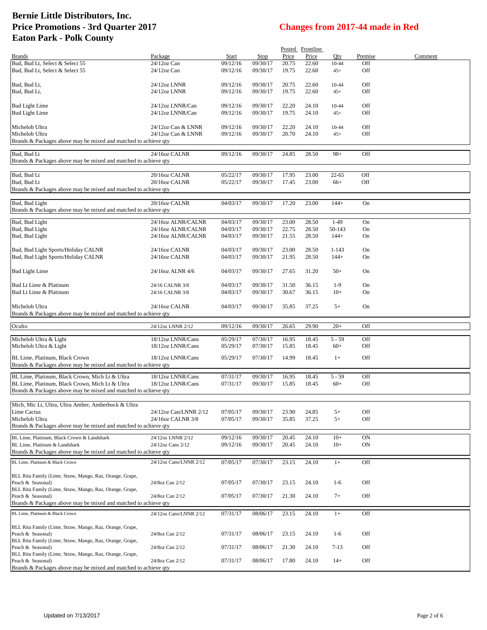|                                                                                                   |                        |          |          |       | Posted Frontline |           |         |         |
|---------------------------------------------------------------------------------------------------|------------------------|----------|----------|-------|------------------|-----------|---------|---------|
| <b>Brands</b>                                                                                     | Package                | Start    | Stop     | Price | Price            | Qty       | Premise | Comment |
| Bud, Bud Lt, Select & Select 55                                                                   | 24/12oz Can            | 09/12/16 | 09/30/17 | 20.75 | 22.60            | $10 - 44$ | Off     |         |
| Bud, Bud Lt, Select & Select 55                                                                   | 24/12oz Can            | 09/12/16 | 09/30/17 | 19.75 | 22.60            | $45+$     | Off     |         |
| Bud, Bud Lt,                                                                                      | 24/12oz LNNR           | 09/12/16 | 09/30/17 | 20.75 | 22.60            | $10 - 44$ | Off     |         |
| Bud, Bud Lt,                                                                                      | 24/12oz LNNR           | 09/12/16 | 09/30/17 | 19.75 | 22.60            | $45+$     | Off     |         |
|                                                                                                   |                        |          |          |       |                  |           |         |         |
| <b>Bud Light Lime</b>                                                                             | 24/12oz LNNR/Can       | 09/12/16 | 09/30/17 | 22.20 | 24.10            | $10 - 44$ | Off     |         |
| <b>Bud Light Lime</b>                                                                             | 24/12oz LNNR/Can       | 09/12/16 | 09/30/17 | 19.75 | 24.10            | $45+$     | Off     |         |
|                                                                                                   |                        |          |          |       |                  |           |         |         |
| Michelob Ultra                                                                                    | 24/12oz Can & LNNR     | 09/12/16 | 09/30/17 | 22.20 | 24.10            | $10 - 44$ | Off     |         |
| Michelob Ultra                                                                                    | 24/12oz Can & LNNR     | 09/12/16 | 09/30/17 | 20.70 | 24.10            | $45+$     | Off     |         |
| Brands & Packages above may be mixed and matched to achieve qty                                   |                        |          |          |       |                  |           |         |         |
| Bud, Bud Lt                                                                                       | 24/16oz CALNR          | 09/12/16 | 09/30/17 | 24.85 | 28.50            | $98+$     | Off     |         |
| Brands & Packages above may be mixed and matched to achieve qty                                   |                        |          |          |       |                  |           |         |         |
|                                                                                                   |                        |          |          |       |                  |           |         |         |
| Bud, Bud Lt                                                                                       | 20/16oz CALNR          | 05/22/17 | 09/30/17 | 17.95 | 23.00            | $22 - 65$ | Off     |         |
| Bud, Bud Lt                                                                                       | 20/16oz CALNR          | 05/22/17 | 09/30/17 | 17.45 | 23.00            | $66+$     | Off     |         |
| Brands & Packages above may be mixed and matched to achieve qty                                   |                        |          |          |       |                  |           |         |         |
|                                                                                                   |                        |          | 09/30/17 |       |                  |           |         |         |
| Bud, Bud Light<br>Brands & Packages above may be mixed and matched to achieve qty                 | 20/16oz CALNR          | 04/03/17 |          | 17.20 | 23.00            | $144+$    | On      |         |
|                                                                                                   |                        |          |          |       |                  |           |         |         |
| Bud, Bud Light                                                                                    | 24/16oz ALNR/CALNR     | 04/03/17 | 09/30/17 | 23.00 | 28.50            | $1-49$    | On      |         |
| Bud, Bud Light                                                                                    | 24/16oz ALNR/CALNR     | 04/03/17 | 09/30/17 | 22.75 | 28.50            | 50-143    | On      |         |
| Bud, Bud Light                                                                                    | 24/16oz ALNR/CALNR     | 04/03/17 | 09/30/17 | 21.55 | 28.50            | $144+$    | On      |         |
|                                                                                                   |                        |          |          |       |                  |           |         |         |
| Bud, Bud Light Sports/Holiday CALNR                                                               | 24/16oz CALNR          | 04/03/17 | 09/30/17 | 23.00 | 28.50            | $1 - 143$ | On      |         |
| Bud, Bud Light Sports/Holiday CALNR                                                               | 24/16oz CALNR          | 04/03/17 | 09/30/17 | 21.95 | 28.50            | $144+$    | On      |         |
| <b>Bud Light Lime</b>                                                                             | 24/16oz ALNR 4/6       | 04/03/17 | 09/30/17 | 27.65 | 31.20            | $50+$     | On      |         |
|                                                                                                   |                        |          |          |       |                  |           |         |         |
| Bud Lt Lime & Platinum                                                                            | 24/16 CALNR 3/8        | 04/03/17 | 09/30/17 | 31.50 | 36.15            | $1-9$     | On      |         |
| Bud Lt Lime & Platinum                                                                            | 24/16 CALNR 3/8        | 04/03/17 | 09/30/17 | 30.67 | 36.15            | $10+$     | On      |         |
|                                                                                                   |                        |          |          |       |                  |           |         |         |
| Michelob Ultra                                                                                    | 24/16oz CALNR          | 04/03/17 | 09/30/17 | 35.85 | 37.25            | $5+$      | On      |         |
| Brands & Packages above may be mixed and matched to achieve qty                                   |                        |          |          |       |                  |           |         |         |
|                                                                                                   |                        |          |          |       |                  |           |         |         |
| Oculto                                                                                            | 24/12oz LNNR 2/12      | 09/12/16 | 09/30/17 | 26.65 | 29.90            | $20+$     | Off     |         |
| Michelob Ultra & Light                                                                            | 18/12oz LNNR/Cans      | 05/29/17 | 07/30/17 | 16.95 | 18.45            | $5 - 59$  | Off     |         |
| Michelob Ultra & Light                                                                            | 18/12oz LNNR/Cans      | 05/29/17 | 07/30/17 | 15.85 | 18.45            | $60+$     | Off     |         |
|                                                                                                   | 18/12oz LNNR/Cans      |          |          | 14.99 | 18.45            |           |         |         |
| BL Lime, Platinum, Black Crown<br>Brands & Packages above may be mixed and matched to achieve qty |                        | 05/29/17 | 07/30/17 |       |                  | $1+$      | Off     |         |
|                                                                                                   |                        |          |          |       |                  |           |         |         |
| BL Lime, Platinum, Black Crown, Mich Lt & Ultra                                                   | 18/12oz LNNR/Cans      | 07/31/17 | 09/30/17 | 16.95 | 18.45            | $5 - 59$  | Off     |         |
| BL Lime, Platinum, Black Crown, Mich Lt & Ultra                                                   | 18/12oz LNNR/Cans      | 07/31/17 | 09/30/17 | 15.85 | 18.45            | $60+$     | Off     |         |
| Brands & Packages above may be mixed and matched to achieve qty                                   |                        |          |          |       |                  |           |         |         |
|                                                                                                   |                        |          |          |       |                  |           |         |         |
| Mich, Mic Lt, Ultra, Ultra Amber, Amberbock & Ultra<br>Lime Cactus                                | 24/12oz Can/LNNR 2/12  | 07/05/17 | 09/30/17 | 23.90 | 24.85            | $5+$      | Off     |         |
| Michelob Ultra                                                                                    | 24/16oz CALNR 3/8      | 07/05/17 | 09/30/17 | 35.85 | 37.25            | $5+$      | Off     |         |
| Brands & Packages above may be mixed and matched to achieve qty                                   |                        |          |          |       |                  |           |         |         |
|                                                                                                   |                        |          |          |       |                  |           |         |         |
| BL Lime, Platinum, Black Crown & Landshark                                                        | 24/12oz LNNR 2/12      | 09/12/16 | 09/30/17 | 20.45 | 24.10            | $10+$     | ON      |         |
| BL Lime, Platinum & Landshark                                                                     | 24/12oz Cans 2/12      | 09/12/16 | 09/30/17 | 20.45 | 24.10            | $10+$     | ON      |         |
| Brands & Packages above may be mixed and matched to achieve qty                                   |                        |          |          |       |                  |           |         |         |
| BL Lime, Platinum & Black Crown                                                                   | 24/12oz Cans/LNNR 2/12 | 07/05/17 | 07/30/17 | 23.15 | 24.10            | $1+$      | Off     |         |
|                                                                                                   |                        |          |          |       |                  |           |         |         |
| BLL Rita Family (Lime, Straw, Mango, Raz, Orange, Grape,                                          |                        |          |          |       |                  |           |         |         |
| Peach & Seasonal)                                                                                 | 24/8oz Can 2/12        | 07/05/17 | 07/30/17 | 23.15 | 24.10            | $1-6$     | Off     |         |
| BLL Rita Family (Lime, Straw, Mango, Raz, Orange, Grape,<br>Peach & Seasonal)                     | 24/8oz Can 2/12        | 07/05/17 | 07/30/17 | 21.30 | 24.10            | $7+$      | Off     |         |
| Brands & Packages above may be mixed and matched to achieve qty                                   |                        |          |          |       |                  |           |         |         |
|                                                                                                   |                        |          |          |       |                  |           |         |         |
| BL Lime, Platinum & Black Crown                                                                   | 24/12oz Cans/LNNR 2/12 | 07/31/17 | 08/06/17 | 23.15 | 24.10            | $1+$      | Off     |         |
| BLL Rita Family (Lime, Straw, Mango, Raz, Orange, Grape,                                          |                        |          |          |       |                  |           |         |         |
| Peach & Seasonal)                                                                                 | 24/8oz Can 2/12        | 07/31/17 | 08/06/17 | 23.15 | 24.10            | $1-6$     | Off     |         |
| BLL Rita Family (Lime, Straw, Mango, Raz, Orange, Grape,                                          |                        |          |          |       |                  |           |         |         |
| Peach & Seasonal)                                                                                 | 24/8oz Can 2/12        | 07/31/17 | 08/06/17 | 21.30 | 24.10            | $7-13$    | Off     |         |
| BLL Rita Family (Lime, Straw, Mango, Raz, Orange, Grape,                                          |                        |          |          |       |                  |           |         |         |
| Peach & Seasonal)                                                                                 | 24/8oz Can 2/12        | 07/31/17 | 08/06/17 | 17.80 | 24.10            | $14+$     | Off     |         |
| Brands & Packages above may be mixed and matched to achieve qty                                   |                        |          |          |       |                  |           |         |         |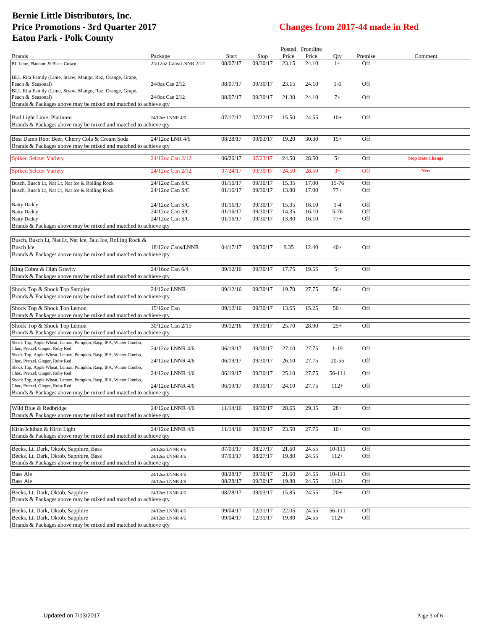|                                                                                                     |                                       |                      |                      |                | Posted Frontline |                   |            |                         |
|-----------------------------------------------------------------------------------------------------|---------------------------------------|----------------------|----------------------|----------------|------------------|-------------------|------------|-------------------------|
| <b>Brands</b>                                                                                       | Package                               | Start                | Stop                 | Price          | Price            | Oty               | Premise    | Comment                 |
| BL Lime, Platinum & Black Crown                                                                     | 24/12oz Cans/LNNR 2/12                | 08/07/17             | 09/30/17             | 23.15          | 24.10            | $1+$              | Off        |                         |
| BLL Rita Family (Lime, Straw, Mango, Raz, Orange, Grape,                                            |                                       |                      |                      |                |                  |                   |            |                         |
| Peach & Seasonal)                                                                                   | 24/8oz Can 2/12                       | 08/07/17             | 09/30/17             | 23.15          | 24.10            | $1-6$             | Off        |                         |
| BLL Rita Family (Lime, Straw, Mango, Raz, Orange, Grape,                                            |                                       |                      |                      |                |                  |                   |            |                         |
| Peach & Seasonal)                                                                                   | 24/8oz Can 2/12                       | 08/07/17             | 09/30/17             | 21.30          | 24.10            | $7+$              | Off        |                         |
| Brands & Packages above may be mixed and matched to achieve qty                                     |                                       |                      |                      |                |                  |                   |            |                         |
| Bud Light Lime, Platinum                                                                            | 24/12oz LNNR 4/6                      | 07/17/17             | 07/22/17             | 15.50          | 24.55            | $10+$             | Off        |                         |
| Brands & Packages above may be mixed and matched to achieve qty                                     |                                       |                      |                      |                |                  |                   |            |                         |
|                                                                                                     |                                       |                      |                      |                |                  |                   |            |                         |
| Best Damn Root Beer, Cherry Cola & Cream Soda                                                       | 24/12oz LNR 4/6                       | 08/28/17             | 09/03/17             | 19.20          | 30.30            | $15+$             | Off        |                         |
| Brands & Packages above may be mixed and matched to achieve qty                                     |                                       |                      |                      |                |                  |                   |            |                         |
| <b>Spiked Seltzer Variety</b>                                                                       | 24/12oz Can 2/12                      | 06/26/17             | 07/23/17             | 24.50          | 28.50            | $5+$              | Off        | <b>Stop Date Change</b> |
|                                                                                                     |                                       |                      |                      |                |                  |                   |            |                         |
| <b>Spiked Seltzer Variety</b>                                                                       | 24/12oz Can 2/12                      | 07/24/17             | 09/30/17             | 24.50          | 28.50            | $3+$              | Off        | <b>New</b>              |
| Busch, Busch Lt, Nat Lt, Nat Ice & Rolling Rock                                                     | $24/12$ oz Can S/C                    | 01/16/17             | 09/30/17             | 15.35          | 17.00            | 15-76             | Off        |                         |
| Busch, Busch Lt, Nat Lt, Nat Ice & Rolling Rock                                                     | 24/12oz Can S/C                       | 01/16/17             | 09/30/17             | 13.80          | 17.00            | $77+$             | Off        |                         |
|                                                                                                     |                                       |                      |                      |                |                  |                   |            |                         |
| Natty Daddy                                                                                         | $24/12$ oz Can S/C                    | 01/16/17             | 09/30/17             | 15.35          | 16.10            | $1 - 4$           | Off        |                         |
| Natty Daddy                                                                                         | $24/12$ oz Can S/C<br>24/12oz Can S/C | 01/16/17<br>01/16/17 | 09/30/17<br>09/30/17 | 14.35<br>13.80 | 16.10<br>16.10   | $5 - 76$<br>$77+$ | Off<br>Off |                         |
| Natty Daddy<br>Brands & Packages above may be mixed and matched to achieve qty                      |                                       |                      |                      |                |                  |                   |            |                         |
|                                                                                                     |                                       |                      |                      |                |                  |                   |            |                         |
| Busch, Busch Lt, Nat Lt, Nat Ice, Bud Ice, Rolling Rock &                                           |                                       |                      |                      |                |                  |                   |            |                         |
| <b>Busch Ice</b>                                                                                    | 18/12oz Cans/LNNR                     | 04/17/17             | 09/30/17             | 9.35           | 12.40            | $40+$             | Off        |                         |
| Brands & Packages above may be mixed and matched to achieve qty                                     |                                       |                      |                      |                |                  |                   |            |                         |
|                                                                                                     |                                       |                      |                      |                |                  |                   |            |                         |
| King Cobra & High Gravity                                                                           | 24/16oz Can 6/4                       | 09/12/16             | 09/30/17             | 17.75          | 19.55            | $5+$              | Off        |                         |
| Brands & Packages above may be mixed and matched to achieve qty                                     |                                       |                      |                      |                |                  |                   |            |                         |
| Shock Top & Shock Top Sampler                                                                       | 24/12oz LNNR                          | 09/12/16             | 09/30/17             | 19.70          | 27.75            | $56+$             | Off        |                         |
| Brands & Packages above may be mixed and matched to achieve qty                                     |                                       |                      |                      |                |                  |                   |            |                         |
| Shock Top & Shock Top Lemon                                                                         | $15/12$ oz Can                        | 09/12/16             | 09/30/17             | 13.65          | 15.25            | $50+$             | Off        |                         |
| Brands & Packages above may be mixed and matched to achieve qty                                     |                                       |                      |                      |                |                  |                   |            |                         |
| Shock Top & Shock Top Lemon                                                                         | 30/12oz Can 2/15                      | 09/12/16             | 09/30/17             | 25.70          | 28.90            | $25+$             | Off        |                         |
| Brands & Packages above may be mixed and matched to achieve qty                                     |                                       |                      |                      |                |                  |                   |            |                         |
| Shock Top, Apple Wheat, Lemon, Pumpkin, Rasp, IPA, Winter Combo,                                    |                                       |                      |                      |                |                  |                   |            |                         |
| Choc, Pretzel, Ginger, Ruby Red                                                                     | 24/12oz LNNR 4/6                      | 06/19/17             | 09/30/17             | 27.10          | 27.75            | $1-19$            | Off        |                         |
| Shock Top, Apple Wheat, Lemon, Pumpkin, Rasp, IPA, Winter Combo,                                    |                                       |                      |                      |                |                  |                   |            |                         |
| Choc, Pretzel, Ginger, Ruby Red                                                                     | 24/12oz LNNR 4/6                      | 06/19/17             | 09/30/17             | 26.10          | 27.75            | 20-55             | Off        |                         |
| Shock Top, Apple Wheat, Lemon, Pumpkin, Rasp, IPA, Winter Combo,<br>Choc, Pretzel, Ginger, Ruby Red | 24/12oz LNNR 4/6                      | 06/19/17             | 09/30/17             | 25.10          | 27.75            | 56-111            | Off        |                         |
| Shock Top, Apple Wheat, Lemon, Pumpkin, Rasp, IPA, Winter Combo,                                    |                                       |                      |                      |                |                  |                   |            |                         |
| Choc, Pretzel, Ginger, Ruby Red                                                                     | 24/12oz LNNR 4/6                      | 06/19/17             | 09/30/17             | 24.10          | 27.75            | $112+$            | Off        |                         |
| Brands & Packages above may be mixed and matched to achieve qty                                     |                                       |                      |                      |                |                  |                   |            |                         |
| Wild Blue & Redbridge                                                                               | 24/12oz LNNR 4/6                      | 11/14/16             | 09/30/17             | 28.65          | 29.35            | $28+$             | Off        |                         |
| Brands & Packages above may be mixed and matched to achieve qty                                     |                                       |                      |                      |                |                  |                   |            |                         |
|                                                                                                     |                                       |                      |                      |                |                  |                   |            |                         |
| Kirin Ichiban & Kirin Light                                                                         | 24/12oz LNNR 4/6                      | 11/14/16             | 09/30/17             | 23.50          | 27.75            | $10+$             | Off        |                         |
| Brands & Packages above may be mixed and matched to achieve qty                                     |                                       |                      |                      |                |                  |                   |            |                         |
| Becks, Lt, Dark, Oktob, Sapphire, Bass                                                              | 24/12oz LNNR 4/6                      | 07/03/17             | 08/27/17             | 21.60          | 24.55            | 10-111            | Off        |                         |
| Becks, Lt, Dark, Oktob, Sapphire, Bass                                                              | 24/12oz LNNR 4/6                      | 07/03/17             | 08/27/17             | 19.80          | 24.55            | $112+$            | Off        |                         |
| Brands & Packages above may be mixed and matched to achieve qty                                     |                                       |                      |                      |                |                  |                   |            |                         |
| <b>Bass Ale</b>                                                                                     | 24/12oz LNNR 4/6                      | 08/28/17             | 09/30/17             | 21.60          | 24.55            | 10-111            | Off        |                         |
| <b>Bass Ale</b>                                                                                     | 24/12oz LNNR 4/6                      | 08/28/17             | 09/30/17             | 19.80          | 24.55            | $112+$            | Off        |                         |
|                                                                                                     |                                       |                      |                      |                |                  |                   |            |                         |
| Becks, Lt, Dark, Oktob, Sapphire                                                                    | 24/12oz LNNR 4/6                      | 08/28/17             | 09/03/17             | 15.85          | 24.55            | $20+$             | Off        |                         |
| Brands & Packages above may be mixed and matched to achieve qty                                     |                                       |                      |                      |                |                  |                   |            |                         |
| Becks, Lt, Dark, Oktob, Sapphire                                                                    | 24/12oz LNNR 4/6                      | 09/04/17             | 12/31/17             | 22.05          | 24.55            | 56-111            | Off        |                         |
| Becks, Lt, Dark, Oktob, Sapphire                                                                    | 24/12oz LNNR 4/6                      | 09/04/17             | 12/31/17             | 19.80          | 24.55            | $112+$            | Off        |                         |
| Brands & Packages above may be mixed and matched to achieve qty                                     |                                       |                      |                      |                |                  |                   |            |                         |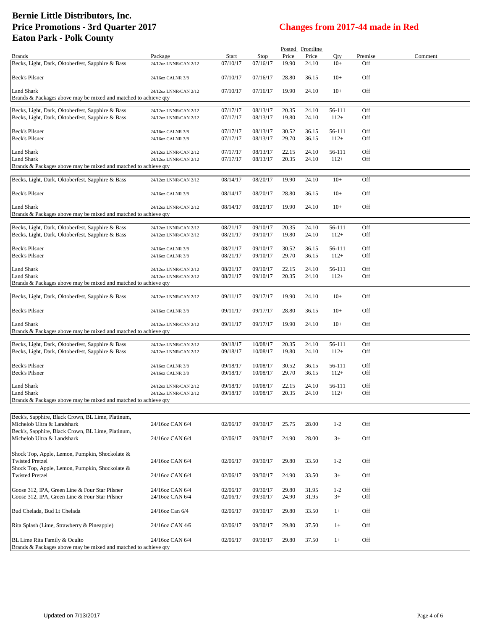|                                                                                 |                       |          |          |       | Posted Frontline |         |         |         |
|---------------------------------------------------------------------------------|-----------------------|----------|----------|-------|------------------|---------|---------|---------|
| <b>Brands</b>                                                                   | Package               | Start    | Stop     | Price | Price            | Qty     | Premise | Comment |
| Becks, Light, Dark, Oktoberfest, Sapphire & Bass                                | 24/12oz LNNR/CAN 2/12 | 07/10/17 | 07/16/17 | 19.90 | 24.10            | $10+$   | Off     |         |
| Beck's Pilsner                                                                  | 24/16oz CALNR 3/8     | 07/10/17 | 07/16/17 | 28.80 | 36.15            | $10+$   | Off     |         |
| Land Shark                                                                      | 24/12oz LNNR/CAN 2/12 | 07/10/17 | 07/16/17 | 19.90 | 24.10            | $10+$   | Off     |         |
| Brands & Packages above may be mixed and matched to achieve qty                 |                       |          |          |       |                  |         |         |         |
|                                                                                 |                       |          |          |       |                  |         |         |         |
| Becks, Light, Dark, Oktoberfest, Sapphire & Bass                                | 24/12oz LNNR/CAN 2/12 | 07/17/17 | 08/13/17 | 20.35 | 24.10            | 56-111  | Off     |         |
| Becks, Light, Dark, Oktoberfest, Sapphire & Bass                                | 24/12oz LNNR/CAN 2/12 | 07/17/17 | 08/13/17 | 19.80 | 24.10            | $112+$  | Off     |         |
|                                                                                 |                       |          |          |       |                  |         |         |         |
| Beck's Pilsner                                                                  | 24/16oz CALNR 3/8     | 07/17/17 | 08/13/17 | 30.52 | 36.15            | 56-111  | Off     |         |
| Beck's Pilsner                                                                  | 24/16oz CALNR 3/8     | 07/17/17 | 08/13/17 | 29.70 | 36.15            | $112+$  | Off     |         |
| Land Shark                                                                      | 24/12oz LNNR/CAN 2/12 | 07/17/17 | 08/13/17 | 22.15 | 24.10            | 56-111  | Off     |         |
| Land Shark                                                                      | 24/12oz LNNR/CAN 2/12 | 07/17/17 | 08/13/17 | 20.35 | 24.10            | $112+$  | Off     |         |
| Brands & Packages above may be mixed and matched to achieve qty                 |                       |          |          |       |                  |         |         |         |
|                                                                                 |                       |          |          |       |                  |         |         |         |
| Becks, Light, Dark, Oktoberfest, Sapphire & Bass                                | 24/12oz LNNR/CAN 2/12 | 08/14/17 | 08/20/17 | 19.90 | 24.10            | $10+$   | Off     |         |
| Beck's Pilsner                                                                  | 24/16oz CALNR 3/8     | 08/14/17 | 08/20/17 | 28.80 | 36.15            | $10+$   | Off     |         |
|                                                                                 |                       |          |          |       |                  |         |         |         |
| <b>Land Shark</b>                                                               | 24/12oz LNNR/CAN 2/12 | 08/14/17 | 08/20/17 | 19.90 | 24.10            | $10+$   | Off     |         |
| Brands & Packages above may be mixed and matched to achieve qty                 |                       |          |          |       |                  |         |         |         |
| Becks, Light, Dark, Oktoberfest, Sapphire & Bass                                | 24/12oz LNNR/CAN 2/12 | 08/21/17 | 09/10/17 | 20.35 | 24.10            | 56-111  | Off     |         |
| Becks, Light, Dark, Oktoberfest, Sapphire & Bass                                | 24/12oz LNNR/CAN 2/12 | 08/21/17 | 09/10/17 | 19.80 | 24.10            | $112+$  | Off     |         |
|                                                                                 |                       |          |          |       |                  |         |         |         |
| Beck's Pilsner                                                                  | 24/16oz CALNR 3/8     | 08/21/17 | 09/10/17 | 30.52 | 36.15            | 56-111  | Off     |         |
| Beck's Pilsner                                                                  | 24/16oz CALNR 3/8     | 08/21/17 | 09/10/17 | 29.70 | 36.15            | $112+$  | Off     |         |
|                                                                                 |                       |          |          |       |                  |         |         |         |
| Land Shark                                                                      | 24/12oz LNNR/CAN 2/12 | 08/21/17 | 09/10/17 | 22.15 | 24.10            | 56-111  | Off     |         |
| Land Shark                                                                      | 24/12oz LNNR/CAN 2/12 | 08/21/17 | 09/10/17 | 20.35 | 24.10            | $112+$  | Off     |         |
| Brands & Packages above may be mixed and matched to achieve qty                 |                       |          |          |       |                  |         |         |         |
| Becks, Light, Dark, Oktoberfest, Sapphire & Bass                                | 24/12oz LNNR/CAN 2/12 | 09/11/17 | 09/17/17 | 19.90 | 24.10            | $10+$   | Off     |         |
|                                                                                 |                       |          |          |       |                  |         |         |         |
| Beck's Pilsner                                                                  | 24/16oz CALNR 3/8     | 09/11/17 | 09/17/17 | 28.80 | 36.15            | $10+$   | Off     |         |
|                                                                                 |                       |          |          |       |                  |         |         |         |
| Land Shark                                                                      | 24/12oz LNNR/CAN 2/12 | 09/11/17 | 09/17/17 | 19.90 | 24.10            | $10+$   | Off     |         |
| Brands & Packages above may be mixed and matched to achieve qty                 |                       |          |          |       |                  |         |         |         |
| Becks, Light, Dark, Oktoberfest, Sapphire & Bass                                | 24/12oz LNNR/CAN 2/12 | 09/18/17 | 10/08/17 | 20.35 | 24.10            | 56-111  | Off     |         |
| Becks, Light, Dark, Oktoberfest, Sapphire & Bass                                | 24/12oz LNNR/CAN 2/12 | 09/18/17 | 10/08/17 | 19.80 | 24.10            | $112+$  | Off     |         |
|                                                                                 |                       |          |          |       |                  |         |         |         |
| Beck's Pilsner                                                                  | 24/16oz CALNR 3/8     | 09/18/17 | 10/08/17 | 30.52 | 36.15            | 56-111  | Off     |         |
| Beck's Pilsner                                                                  | 24/16oz CALNR 3/8     | 09/18/17 | 10/08/17 | 29.70 | 36.15            | $112+$  | Off     |         |
|                                                                                 |                       |          |          |       |                  |         |         |         |
| Land Shark                                                                      | 24/12oz LNNR/CAN 2/12 | 09/18/17 | 10/08/17 | 22.15 | 24.10            | 56-111  | Off     |         |
| Land Shark                                                                      | 24/12oz LNNR/CAN 2/12 | 09/18/17 | 10/08/17 | 20.35 | 24.10            | $112+$  | Off     |         |
| Brands & Packages above may be mixed and matched to achieve qty                 |                       |          |          |       |                  |         |         |         |
|                                                                                 |                       |          |          |       |                  |         |         |         |
| Beck's, Sapphire, Black Crown, BL Lime, Platinum,                               |                       |          |          |       |                  |         |         |         |
| Michelob Ultra & Landshark                                                      | 24/16oz CAN 6/4       | 02/06/17 | 09/30/17 | 25.75 | 28.00            | $1 - 2$ | Off     |         |
| Beck's, Sapphire, Black Crown, BL Lime, Platinum,<br>Michelob Ultra & Landshark |                       |          |          |       |                  | $3+$    |         |         |
|                                                                                 | 24/16oz CAN 6/4       | 02/06/17 | 09/30/17 | 24.90 | 28.00            |         | Off     |         |
|                                                                                 |                       |          |          |       |                  |         |         |         |
| Shock Top, Apple, Lemon, Pumpkin, Shockolate &<br><b>Twisted Pretzel</b>        | 24/16oz CAN 6/4       | 02/06/17 | 09/30/17 | 29.80 | 33.50            | $1-2$   | Off     |         |
| Shock Top, Apple, Lemon, Pumpkin, Shockolate &                                  |                       |          |          |       |                  |         |         |         |
| <b>Twisted Pretzel</b>                                                          | 24/16oz CAN 6/4       | 02/06/17 | 09/30/17 | 24.90 | 33.50            | $3+$    | Off     |         |
|                                                                                 |                       |          |          |       |                  |         |         |         |
| Goose 312, IPA, Green Line & Four Star Pilsner                                  | 24/16oz CAN 6/4       | 02/06/17 | 09/30/17 | 29.80 | 31.95            | $1-2$   | Off     |         |
| Goose 312, IPA, Green Line & Four Star Pilsner                                  | 24/16oz CAN 6/4       | 02/06/17 | 09/30/17 | 24.90 | 31.95            | $3+$    | Off     |         |
|                                                                                 |                       |          |          |       |                  |         |         |         |
| Bud Chelada, Bud Lt Chelada                                                     | 24/16oz Can 6/4       | 02/06/17 | 09/30/17 | 29.80 | 33.50            | $1+$    | Off     |         |
|                                                                                 |                       |          |          |       |                  |         |         |         |
| Rita Splash (Lime, Strawberry & Pineapple)                                      | 24/16oz CAN 4/6       | 02/06/17 | 09/30/17 | 29.80 | 37.50            | $1+$    | Off     |         |
|                                                                                 |                       |          |          |       |                  |         |         |         |
| BL Lime Rita Family & Oculto                                                    | 24/16oz CAN 6/4       | 02/06/17 | 09/30/17 | 29.80 | 37.50            | $1+$    | Off     |         |
| Brands & Packages above may be mixed and matched to achieve qty                 |                       |          |          |       |                  |         |         |         |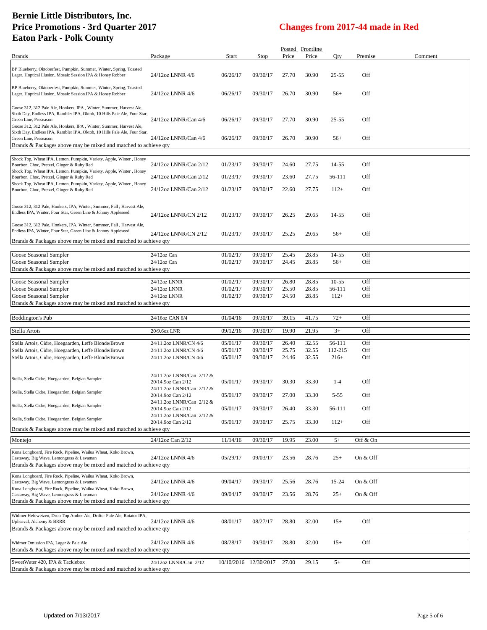| <b>Brands</b>                                                                                                                                                                                                                                    | Package                                         | Start                | Stop                  | Price          | Posted Frontline<br>Price | Qty               | Premise    | Comment |
|--------------------------------------------------------------------------------------------------------------------------------------------------------------------------------------------------------------------------------------------------|-------------------------------------------------|----------------------|-----------------------|----------------|---------------------------|-------------------|------------|---------|
| BP Blueberry, Oktoberfest, Pumpkin, Summer, Winter, Spring, Toasted                                                                                                                                                                              |                                                 |                      |                       |                |                           |                   |            |         |
| Lager, Hoptical Illusion, Mosaic Session IPA & Honey Robber                                                                                                                                                                                      | 24/12oz LNNR 4/6                                | 06/26/17             | 09/30/17              | 27.70          | 30.90                     | 25-55             | Off        |         |
| BP Blueberry, Oktoberfest, Pumpkin, Summer, Winter, Spring, Toasted<br>Lager, Hoptical Illusion, Mosaic Session IPA & Honey Robber                                                                                                               | 24/12oz LNNR 4/6                                | 06/26/17             | 09/30/17              | 26.70          | 30.90                     | $56+$             | Off        |         |
| Goose 312, 312 Pale Ale, Honkers, IPA, Winter, Summer, Harvest Ale,<br>Sixth Day, Endless IPA, Rambler IPA, Oktob, 10 Hills Pale Ale, Four Star,<br>Green Line, Preseason<br>Goose 312, 312 Pale Ale, Honkers, IPA, Winter, Summer, Harvest Ale, | 24/12oz LNNR/Can 4/6                            | 06/26/17             | 09/30/17              | 27.70          | 30.90                     | 25-55             | Off        |         |
| Sixth Day, Endless IPA, Rambler IPA, Oktob, 10 Hills Pale Ale, Four Star,<br>Green Line, Preseason<br>Brands & Packages above may be mixed and matched to achieve qty                                                                            | 24/12oz LNNR/Can 4/6                            | 06/26/17             | 09/30/17              | 26.70          | 30.90                     | $56+$             | Off        |         |
|                                                                                                                                                                                                                                                  |                                                 |                      |                       |                |                           |                   |            |         |
| Shock Top, Wheat IPA, Lemon, Pumpkin, Variety, Apple, Winter, Honey<br>Bourbon, Choc, Pretzel, Ginger & Ruby Red<br>Shock Top, Wheat IPA, Lemon, Pumpkin, Variety, Apple, Winter, Honey                                                          | 24/12oz LNNR/Can 2/12                           | 01/23/17             | 09/30/17              | 24.60          | 27.75                     | 14-55             | Off        |         |
| Bourbon, Choc, Pretzel, Ginger & Ruby Red                                                                                                                                                                                                        | 24/12oz LNNR/Can 2/12                           | 01/23/17             | 09/30/17              | 23.60          | 27.75                     | 56-111            | Off        |         |
| Shock Top, Wheat IPA, Lemon, Pumpkin, Variety, Apple, Winter, Honey<br>Bourbon, Choc, Pretzel, Ginger & Ruby Red                                                                                                                                 | 24/12oz LNNR/Can 2/12                           | 01/23/17             | 09/30/17              | 22.60          | 27.75                     | $112+$            | Off        |         |
| Goose 312, 312 Pale, Honkers, IPA, Winter, Summer, Fall, Harvest Ale,                                                                                                                                                                            |                                                 |                      |                       |                |                           |                   |            |         |
| Endless IPA, Winter, Four Star, Green Line & Johnny Appleseed                                                                                                                                                                                    | 24/12oz LNNR/CN 2/12                            | 01/23/17             | 09/30/17              | 26.25          | 29.65                     | 14-55             | Off        |         |
| Goose 312, 312 Pale, Honkers, IPA, Winter, Summer, Fall, Harvest Ale,<br>Endless IPA, Winter, Four Star, Green Line & Johnny Appleseed                                                                                                           | 24/12oz LNNR/CN 2/12                            | 01/23/17             | 09/30/17              | 25.25          | 29.65                     | $56+$             | Off        |         |
| Brands & Packages above may be mixed and matched to achieve qty                                                                                                                                                                                  |                                                 |                      |                       |                |                           |                   |            |         |
| Goose Seasonal Sampler                                                                                                                                                                                                                           | 24/12oz Can                                     | 01/02/17             | 09/30/17              | 25.45          | 28.85                     | 14-55             | Off        |         |
| Goose Seasonal Sampler                                                                                                                                                                                                                           | 24/12oz Can                                     | 01/02/17             | 09/30/17              | 24.45          | 28.85                     | $56+$             | Off        |         |
| Brands & Packages above may be mixed and matched to achieve qty                                                                                                                                                                                  |                                                 |                      |                       |                |                           |                   |            |         |
| Goose Seasonal Sampler                                                                                                                                                                                                                           | 24/12oz LNNR                                    | 01/02/17             | 09/30/17              | 26.80          | 28.85                     | $10-55$           | Off        |         |
| Goose Seasonal Sampler                                                                                                                                                                                                                           | 24/12oz LNNR                                    | 01/02/17             | 09/30/17              | 25.50          | 28.85                     | 56-111            | Off        |         |
| Goose Seasonal Sampler<br>Brands & Packages above may be mixed and matched to achieve qty                                                                                                                                                        | 24/12oz LNNR                                    | 01/02/17             | 09/30/17              | 24.50          | 28.85                     | $112+$            | Off        |         |
|                                                                                                                                                                                                                                                  |                                                 |                      |                       |                |                           |                   |            |         |
|                                                                                                                                                                                                                                                  |                                                 |                      |                       |                |                           |                   |            |         |
| <b>Boddington's Pub</b>                                                                                                                                                                                                                          | 24/16oz CAN 6/4                                 | 01/04/16             | 09/30/17              | 39.15          | 41.75                     | $72+$             | Off        |         |
|                                                                                                                                                                                                                                                  | 20/9.6oz LNR                                    | 09/12/16             | 09/30/17              | 19.90          | 21.95                     | $3+$              | Off        |         |
| Stella Artois                                                                                                                                                                                                                                    |                                                 |                      |                       |                |                           |                   |            |         |
| Stella Artois, Cidre, Hoegaarden, Leffe Blonde/Brown                                                                                                                                                                                             | 24/11.2oz LNNR/CN 4/6                           | 05/01/17<br>05/01/17 | 09/30/17<br>09/30/17  | 26.40          | 32.55                     | 56-111<br>112-215 | Off<br>Off |         |
| Stella Artois, Cidre, Hoegaarden, Leffe Blonde/Brown<br>Stella Artois, Cidre, Hoegaarden, Leffe Blonde/Brown                                                                                                                                     | 24/11.2oz LNNR/CN 4/6<br>24/11.2oz LNNR/CN 4/6  | 05/01/17             | 09/30/17              | 25.75<br>24.46 | 32.55<br>32.55            | $216+$            | Off        |         |
|                                                                                                                                                                                                                                                  |                                                 |                      |                       |                |                           |                   |            |         |
| Stella, Stella Cidre, Hoegaarden, Belgian Sampler                                                                                                                                                                                                | 24/11.2oz LNNR/Can 2/12 &                       |                      |                       |                |                           |                   |            |         |
|                                                                                                                                                                                                                                                  | 20/14.9oz Can 2/12<br>24/11.2oz LNNR/Can 2/12 & | 05/01/17             | 09/30/17              | 30.30          | 33.30                     | $1-4$             | Off        |         |
| Stella, Stella Cidre, Hoegaarden, Belgian Sampler                                                                                                                                                                                                | 20/14.9oz Can 2/12                              | 05/01/17             | 09/30/17              | 27.00          | 33.30                     | $5 - 55$          | Off        |         |
| Stella, Stella Cidre, Hoegaarden, Belgian Sampler                                                                                                                                                                                                | 24/11.2oz LNNR/Can 2/12 &                       |                      |                       |                |                           |                   |            |         |
|                                                                                                                                                                                                                                                  | 20/14.9oz Can 2/12<br>24/11.2oz LNNR/Can 2/12 & | 05/01/17             | 09/30/17              | 26.40          | 33.30                     | 56-111            | Off        |         |
| Stella, Stella Cidre, Hoegaarden, Belgian Sampler                                                                                                                                                                                                | 20/14.9oz Can 2/12                              | 05/01/17             | 09/30/17              | 25.75          | 33.30                     | $112+$            | Off        |         |
| Brands & Packages above may be mixed and matched to achieve qty                                                                                                                                                                                  |                                                 |                      |                       |                |                           |                   |            |         |
| Montejo                                                                                                                                                                                                                                          | 24/12oz Can 2/12                                | 11/14/16             | 09/30/17              | 19.95          | 23.00                     | $5+$              | Off & On   |         |
| Kona Longboard, Fire Rock, Pipeline, Wailua Wheat, Koko Brown,<br>Castaway, Big Wave, Lemongrass & Lavaman<br>Brands & Packages above may be mixed and matched to achieve gty                                                                    | 24/12oz LNNR 4/6                                | 05/29/17             | 09/03/17              | 23.56          | 28.76                     | $25+$             | On & Off   |         |
|                                                                                                                                                                                                                                                  |                                                 |                      |                       |                |                           |                   |            |         |
| Kona Longboard, Fire Rock, Pipeline, Wailua Wheat, Koko Brown,<br>Castaway, Big Wave, Lemongrass & Lavaman                                                                                                                                       | 24/12oz LNNR 4/6                                | 09/04/17             | 09/30/17              | 25.56          | 28.76                     | 15-24             | On & Off   |         |
| Kona Longboard, Fire Rock, Pipeline, Wailua Wheat, Koko Brown,<br>Castaway, Big Wave, Lemongrass & Lavaman                                                                                                                                       | 24/12oz LNNR 4/6                                | 09/04/17             | 09/30/17              | 23.56          | 28.76                     | $25+$             | On & Off   |         |
| Brands & Packages above may be mixed and matched to achieve qty                                                                                                                                                                                  |                                                 |                      |                       |                |                           |                   |            |         |
|                                                                                                                                                                                                                                                  |                                                 |                      |                       |                |                           |                   |            |         |
| Widmer Hefeweizen, Drop Top Amber Ale, Drifter Pale Ale, Rotator IPA,<br>Upheaval, Alchemy & BRRR                                                                                                                                                | 24/12oz LNNR 4/6                                | 08/01/17             | 08/27/17              | 28.80          | 32.00                     | $15+$             | Off        |         |
| Brands & Packages above may be mixed and matched to achieve qty                                                                                                                                                                                  |                                                 |                      |                       |                |                           |                   |            |         |
| Widmer Omission IPA, Lager & Pale Ale                                                                                                                                                                                                            |                                                 |                      |                       |                |                           |                   | Off        |         |
| Brands & Packages above may be mixed and matched to achieve qty                                                                                                                                                                                  | 24/12oz LNNR 4/6                                | 08/28/17             | 09/30/17              | 28.80          | 32.00                     | $15+$             |            |         |
| SweetWater 420, IPA & Tacklebox<br>Brands & Packages above may be mixed and matched to achieve qty                                                                                                                                               | 24/12oz LNNR/Can 2/12                           |                      | 10/10/2016 12/30/2017 | 27.00          | 29.15                     | $5+$              | Off        |         |